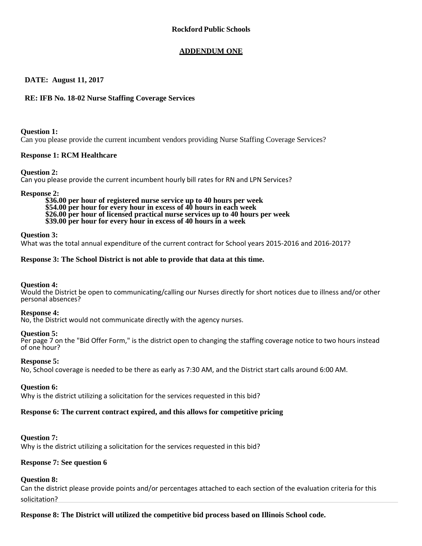# **ADDENDUM ONE**

# **DATE: August 11, 2017**

# **RE: IFB No. 18-02 Nurse Staffing Coverage Services**

**Question 1:**

Can you please provide the current incumbent vendors providing Nurse Staffing Coverage Services?

# **Response 1: RCM Healthcare**

### **Question 2:**

Can you please provide the current incumbent hourly bill rates for RN and LPN Services?

**Response 2: \$36.00 per hour of registered nurse service up to 40 hours per week \$54.00 per hour for every hour in excess of 40 hours in each week \$26.00 per hour of licensed practical nurse services up to 40 hours per week \$39.00 per hour for every hour in excess of 40 hours in a week**

### **Question 3:**

What was the total annual expenditure of the current contract for School years 2015-2016 and 2016-2017?

### **Response 3: The School District is not able to provide that data at this time.**

# **Question 4:**

Would the District be open to communicating/calling our Nurses directly for short notices due to illness and/or other personal absences?

#### **Response 4:**

No, the District would not communicate directly with the agency nurses.

#### **Question 5:**

Per page 7 on the "Bid Offer Form," is the district open to changing the staffing coverage notice to two hours instead of one hour?

#### **Response 5:**

No, School coverage is needed to be there as early as 7:30 AM, and the District start calls around 6:00 AM.

#### **Question 6:**

Why is the district utilizing a solicitation for the services requested in this bid?

# **Response 6: The current contract expired, and this allows for competitive pricing**

# **Question 7:**

Why is the district utilizing a solicitation for the services requested in this bid?

# **Response 7: See question 6**

# **Question 8:**

Can the district please provide points and/or percentages attached to each section of the evaluation criteria for this solicitation?

**Response 8: The District will utilized the competitive bid process based on Illinois School code.**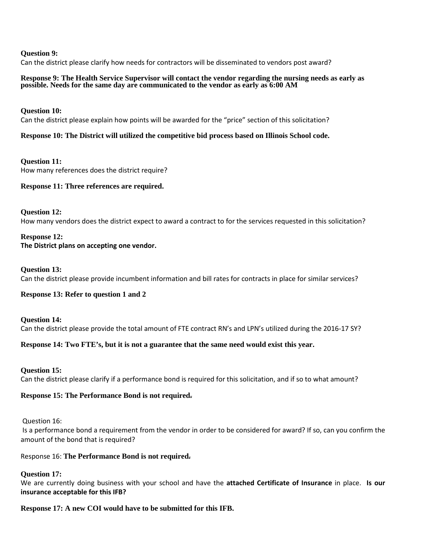### **Question 9:**

Can the district please clarify how needs for contractors will be disseminated to vendors post award?

#### **Response 9: The Health Service Supervisor will contact the vendor regarding the nursing needs as early as possible. Needs for the same day are communicated to the vendor as early as 6:00 AM**

## **Question 10:**

Can the district please explain how points will be awarded for the "price" section of this solicitation?

# **Response 10: The District will utilized the competitive bid process based on Illinois School code.**

**Question 11:** How many references does the district require?

# **Response 11: Three references are required.**

**Question 12:** How many vendors does the district expect to award a contract to for the services requested in this solicitation?

#### **Response 12: The District plans on accepting one vendor.**

# **Question 13:**

Can the district please provide incumbent information and bill rates for contracts in place for similar services?

# **Response 13: Refer to question 1 and 2**

**Question 14:** Can the district please provide the total amount of FTE contract RN's and LPN's utilized during the 2016-17 SY?

# **Response 14: Two FTE's, but it is not a guarantee that the same need would exist this year.**

# **Question 15:**

Can the district please clarify if a performance bond is required for this solicitation, and if so to what amount?

# **Response 15: The Performance Bond is not required.**

Question 16:

Is a performance bond a requirement from the vendor in order to be considered for award? If so, can you confirm the amount of the bond that is required?

# Response 16: **The Performance Bond is not required.**

# **Question 17:**

We are currently doing business with your school and have the **attached Certificate of Insurance** in place. **Is our insurance acceptable for this IFB?** 

# **Response 17: A new COI would have to be submitted for this IFB.**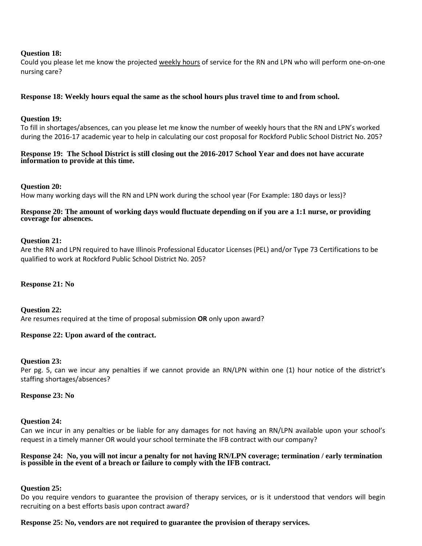## **Question 18:**

Could you please let me know the projected weekly hours of service for the RN and LPN who will perform one-on-one nursing care?

# **Response 18: Weekly hours equal the same as the school hours plus travel time to and from school.**

#### **Question 19:**

To fill in shortages/absences, can you please let me know the number of weekly hours that the RN and LPN's worked during the 2016-17 academic year to help in calculating our cost proposal for Rockford Public School District No. 205?

### **Response 19: The School District is still closing out the 2016-2017 School Year and does not have accurate information to provide at this time.**

#### **Question 20:**

How many working days will the RN and LPN work during the school year (For Example: 180 days or less)?

#### **Response 20: The amount of working days would fluctuate depending on if you are a 1:1 nurse, or providing coverage for absences.**

#### **Question 21:**

Are the RN and LPN required to have Illinois Professional Educator Licenses (PEL) and/or Type 73 Certifications to be qualified to work at Rockford Public School District No. 205?

#### **Response 21: No**

**Question 22:** Are resumes required at the time of proposal submission **OR** only upon award?

#### **Response 22: Upon award of the contract.**

#### **Question 23:**

Per pg. 5, can we incur any penalties if we cannot provide an RN/LPN within one (1) hour notice of the district's staffing shortages/absences?

#### **Response 23: No**

#### **Question 24:**

Can we incur in any penalties or be liable for any damages for not having an RN/LPN available upon your school's request in a timely manner OR would your school terminate the IFB contract with our company?

#### **Response 24: No, you will not incur a penalty for not having RN/LPN coverage; termination / early termination is possible in the event of a breach or failure to comply with the IFB contract.**

#### **Question 25:**

Do you require vendors to guarantee the provision of therapy services, or is it understood that vendors will begin recruiting on a best efforts basis upon contract award?

#### **Response 25: No, vendors are not required to guarantee the provision of therapy services.**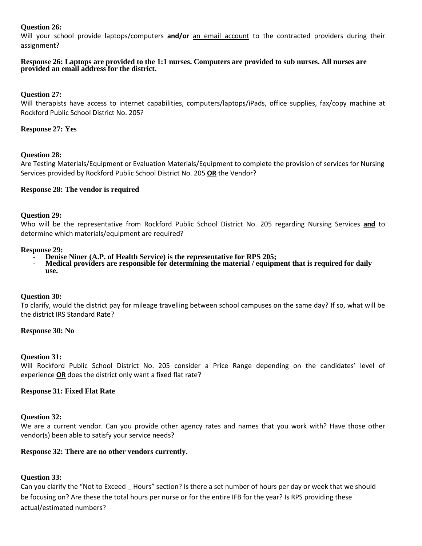# **Question 26:**

Will your school provide laptops/computers **and/or** an email account to the contracted providers during their assignment?

#### **Response 26: Laptops are provided to the 1:1 nurses. Computers are provided to sub nurses. All nurses are provided an email address for the district.**

# **Question 27:**

Will therapists have access to internet capabilities, computers/laptops/iPads, office supplies, fax/copy machine at Rockford Public School District No. 205?

## **Response 27: Yes**

# **Question 28:**

Are Testing Materials/Equipment or Evaluation Materials/Equipment to complete the provision of services for Nursing Services provided by Rockford Public School District No. 205 **OR** the Vendor?

### **Response 28: The vendor is required**

### **Question 29:**

Who will be the representative from Rockford Public School District No. 205 regarding Nursing Services **and** to determine which materials/equipment are required?

- 
- **Response 29:**<br> **Response 20:**<br> **Penise Niner (A.P. of Health Service) is the representative for RPS 205;<br>
<b>Medical providers are responsible for determining the material / equipment that is required for daily use.**

#### **Question 30:**

To clarify, would the district pay for mileage travelling between school campuses on the same day? If so, what will be the district IRS Standard Rate?

#### **Response 30: No**

#### **Question 31:**

Will Rockford Public School District No. 205 consider a Price Range depending on the candidates' level of experience **OR** does the district only want a fixed flat rate?

#### **Response 31: Fixed Flat Rate**

#### **Question 32:**

We are a current vendor. Can you provide other agency rates and names that you work with? Have those other vendor(s) been able to satisfy your service needs?

#### **Response 32: There are no other vendors currently.**

# **Question 33:**

Can you clarify the "Not to Exceed \_ Hours" section? Is there a set number of hours per day or week that we should be focusing on? Are these the total hours per nurse or for the entire IFB for the year? Is RPS providing these actual/estimated numbers?